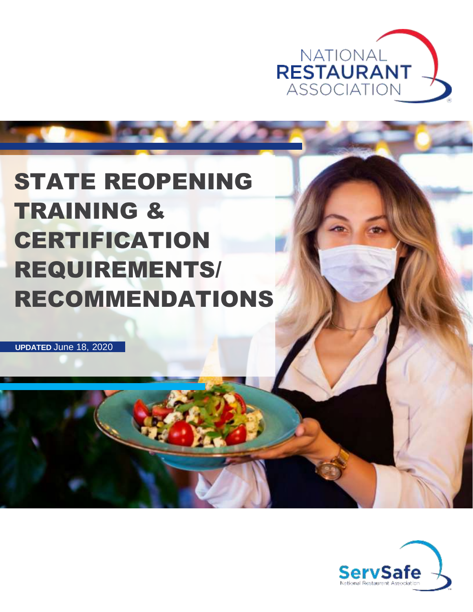

## STATE REOPENING TRAINING & **CERTIFICATION** REQUIREMENTS/ RECOMMENDATIONS

dal h

**UPDATED** June 18, 2020

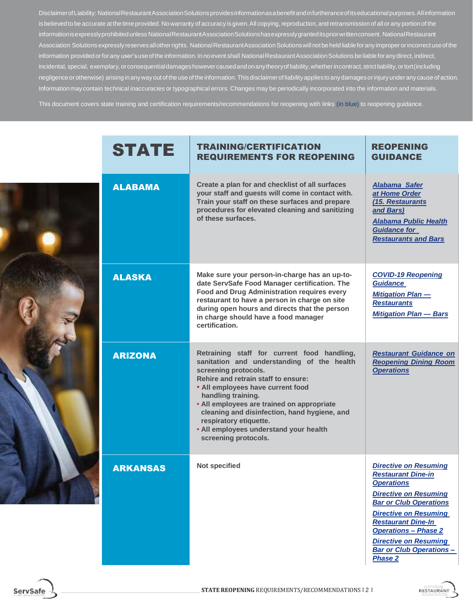DisclaimerofLiability: NationalRestaurantAssociationSolutionsprovidesinformationasabenefitandinfurtheranceofitseducationalpurposes.Allinformation is believed to be accurate at the time provided. No warranty of accuracy is given. All copying, reproduction, and retransmission of all or any portion of the informationisexpresslyprohibitedunless NationalRestaurantAssociationSolutionshasexpresslygranteditspriorwrittenconsent. NationalRestaurant Association Solutions expressly reserves all other rights. National Restaurant Association Solutions will not be held liable for any improper or incorrect use of the information provided or for any user's use of the information. In no event shall National Restaurant Association Solutions be liable for any direct, indirect, incidental, special, exemplary, or consequential damages however caused and on any theory of liability, whether in contract, strict liability, or tort (including negligence or otherwise) arising in any way out of the use of the information. This disclaimer of liability applies to any damages or injury under any cause of action. Informationmay contain technical inaccuracies or typographical errors. Changes may be periodically incorporated into the information and materials.

This document covers state training and certification requirements/recommendations for reopening with links (in blue) to reopening guidance.

|  | <b>STATE</b>    | <b>TRAINING/CERTIFICATION</b><br><b>REQUIREMENTS FOR REOPENING</b>                                                                                                                                                                                                                                                                                                                                            | <b>REOPENING</b><br><b>GUIDANCE</b>                                                                                                                                                                                                                                                                                              |
|--|-----------------|---------------------------------------------------------------------------------------------------------------------------------------------------------------------------------------------------------------------------------------------------------------------------------------------------------------------------------------------------------------------------------------------------------------|----------------------------------------------------------------------------------------------------------------------------------------------------------------------------------------------------------------------------------------------------------------------------------------------------------------------------------|
|  | <b>ALABAMA</b>  | Create a plan for and checklist of all surfaces<br>your staff and guests will come in contact with.<br>Train your staff on these surfaces and prepare<br>procedures for elevated cleaning and sanitizing<br>of these surfaces.                                                                                                                                                                                | <b>Alabama Safer</b><br>at Home Order<br>(15. Restaurants<br>and Bars)<br><b>Alabama Public Health</b><br><b>Guidance for</b><br><b>Restaurants and Bars</b>                                                                                                                                                                     |
|  | <b>ALASKA</b>   | Make sure your person-in-charge has an up-to-<br>date ServSafe Food Manager certification. The<br><b>Food and Drug Administration requires every</b><br>restaurant to have a person in charge on site<br>during open hours and directs that the person<br>in charge should have a food manager<br>certification.                                                                                              | <b>COVID-19 Reopening</b><br><b>Guidance</b><br><b>Mitigation Plan-</b><br><b>Restaurants</b><br><b>Mitigation Plan - Bars</b>                                                                                                                                                                                                   |
|  | <b>ARIZONA</b>  | Retraining staff for current food handling,<br>sanitation and understanding of the health<br>screening protocols.<br>Rehire and retrain staff to ensure:<br>• All employees have current food<br>handling training.<br>• All employees are trained on appropriate<br>cleaning and disinfection, hand hygiene, and<br>respiratory etiquette.<br>• All employees understand your health<br>screening protocols. | <b>Restaurant Guidance on</b><br><b>Reopening Dining Room</b><br><b>Operations</b>                                                                                                                                                                                                                                               |
|  | <b>ARKANSAS</b> | Not specified                                                                                                                                                                                                                                                                                                                                                                                                 | <b>Directive on Resuming</b><br><b>Restaurant Dine-in</b><br><b>Operations</b><br><b>Directive on Resuming</b><br><b>Bar or Club Operations</b><br><b>Directive on Resuming</b><br><b>Restaurant Dine-In</b><br><b>Operations - Phase 2</b><br><b>Directive on Resuming</b><br><b>Bar or Club Operations -</b><br><b>Phase 2</b> |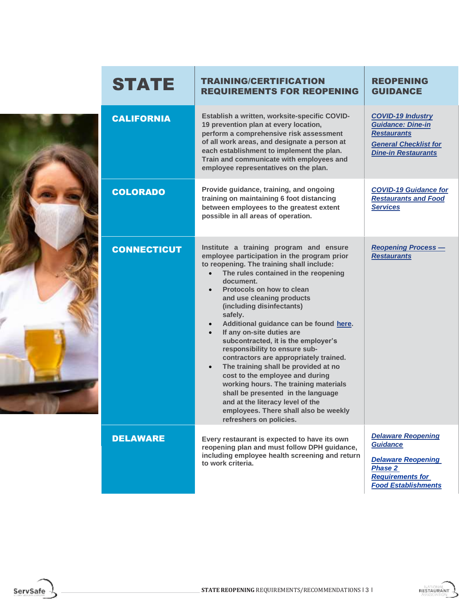|  | <b>STATE</b>       | <b>TRAINING/CERTIFICATION</b><br><b>REQUIREMENTS FOR REOPENING</b>                                                                                                                                                                                                                                                                                                                                                                                                                                                                                                                                                                                                                                                                                                                                                     | <b>REOPENING</b><br><b>GUIDANCE</b>                                                                                                                  |
|--|--------------------|------------------------------------------------------------------------------------------------------------------------------------------------------------------------------------------------------------------------------------------------------------------------------------------------------------------------------------------------------------------------------------------------------------------------------------------------------------------------------------------------------------------------------------------------------------------------------------------------------------------------------------------------------------------------------------------------------------------------------------------------------------------------------------------------------------------------|------------------------------------------------------------------------------------------------------------------------------------------------------|
|  | <b>CALIFORNIA</b>  | Establish a written, worksite-specific COVID-<br>19 prevention plan at every location,<br>perform a comprehensive risk assessment<br>of all work areas, and designate a person at<br>each establishment to implement the plan.<br>Train and communicate with employees and<br>employee representatives on the plan.                                                                                                                                                                                                                                                                                                                                                                                                                                                                                                    | <b>COVID-19 Industry</b><br><b>Guidance: Dine-in</b><br><b>Restaurants</b><br><b>General Checklist for</b><br><b>Dine-in Restaurants</b>             |
|  | <b>COLORADO</b>    | Provide guidance, training, and ongoing<br>training on maintaining 6 foot distancing<br>between employees to the greatest extent<br>possible in all areas of operation.                                                                                                                                                                                                                                                                                                                                                                                                                                                                                                                                                                                                                                                | <b>COVID-19 Guidance for</b><br><b>Restaurants and Food</b><br><b>Services</b>                                                                       |
|  | <b>CONNECTICUT</b> | Institute a training program and ensure<br>employee participation in the program prior<br>to reopening. The training shall include:<br>The rules contained in the reopening<br>$\bullet$<br>document.<br>Protocols on how to clean<br>$\bullet$<br>and use cleaning products<br>(including disinfectants)<br>safely.<br>Additional guidance can be found here.<br>$\bullet$<br>If any on-site duties are<br>$\bullet$<br>subcontracted, it is the employer's<br>responsibility to ensure sub-<br>contractors are appropriately trained.<br>The training shall be provided at no<br>$\bullet$<br>cost to the employee and during<br>working hours. The training materials<br>shall be presented in the language<br>and at the literacy level of the<br>employees. There shall also be weekly<br>refreshers on policies. | <b>Reopening Process-</b><br><b>Restaurants</b>                                                                                                      |
|  | <b>DELAWARE</b>    | Every restaurant is expected to have its own<br>reopening plan and must follow DPH guidance,<br>including employee health screening and return<br>to work criteria.                                                                                                                                                                                                                                                                                                                                                                                                                                                                                                                                                                                                                                                    | <b>Delaware Reopening</b><br><b>Guidance</b><br><b>Delaware Reopening</b><br><b>Phase 2</b><br><b>Requirements for</b><br><b>Food Establishments</b> |



ServSafe

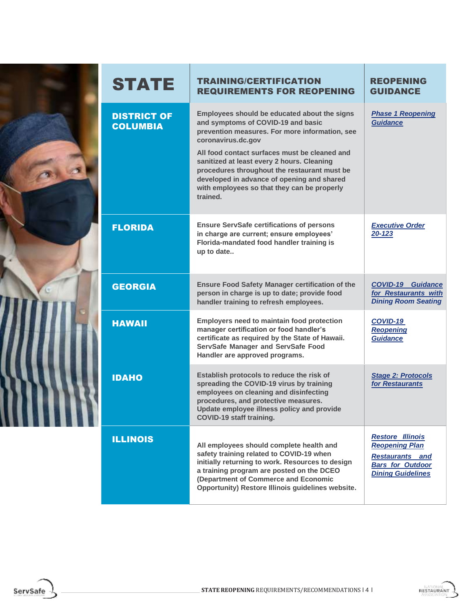

## STATE TRAINING/CERTIFICATION REQUIREMENTS FOR REOPENING REOPENING GUIDANCE DISTRICT OF **COLUMBIA Employees should be educated about the signs and symptoms of COVID-19 and basic prevention measures. For more information, see coronavirus.dc.gov All food contact surfaces must be cleaned and sanitized at least every 2 hours. Cleaning procedures throughout the restaurant must be developed in advance of opening and shared with employees so that they can be properly trained.** *[Phase 1 Reopening](https://coronavirus.dc.gov/sites/default/files/dc/sites/coronavirus/page_content/attachments/COVID-19_DC_Health_Guidance_Restaurants_Phase_1_Reopening_05252020_FINAL.pdf) [Guidance](https://coronavirus.dc.gov/sites/default/files/dc/sites/coronavirus/page_content/attachments/COVID-19_DC_Health_Guidance_Restaurants_Phase_1_Reopening_05252020_FINAL.pdf)* FLORIDA **Ensure ServSafe certifications of persons in charge are current; ensure employees' Florida-mandated food handler training is up to date..** *[Executive Order](https://www.flgov.com/wp-content/uploads/orders/2020/EO_20-123.pdf) [20-123](https://www.flgov.com/wp-content/uploads/orders/2020/EO_20-123.pdf)* **GEORGIA** Ensure Food Safety Manager certification of the **person in charge is up to date; provide food handler training to refresh employees.** *[COVID-19 Guidance](https://dph.georgia.gov/document/document/covid-19-guidance-restaurants-dining-room-seating/download) [for Restaurants with](https://dph.georgia.gov/document/document/covid-19-guidance-restaurants-dining-room-seating/download) [Dining Room Seating](https://dph.georgia.gov/document/document/covid-19-guidance-restaurants-dining-room-seating/download)* HAWAII **Employers need to maintain food protection manager certification or food handler's certificate as required by the State of Hawaii. ServSafe Manager and ServSafe Food Handler are approved programs.** *[COVID-19](https://hawaiirestaurant.org/wp-content/uploads/2020/05/COVID19-Reopening-Guidance-HRA-NRA-04-29-20_-002.pdf) [Reopening](https://hawaiirestaurant.org/wp-content/uploads/2020/05/COVID19-Reopening-Guidance-HRA-NRA-04-29-20_-002.pdf) [Guidance](https://hawaiirestaurant.org/wp-content/uploads/2020/05/COVID19-Reopening-Guidance-HRA-NRA-04-29-20_-002.pdf)* **IDAHO Establish protocols to reduce the risk of spreading the COVID-19 virus by training employees on cleaning and disinfecting procedures, and protective measures. Update employee illness policy and provide COVID-19 staff training.** *[Stage 2: Protocols](https://rebound.idaho.gov/wp-content/uploads/2020/05/stage2-protocols-restaurants.pdf) [for Restaurants](https://rebound.idaho.gov/wp-content/uploads/2020/05/stage2-protocols-restaurants.pdf)* ILLINOIS **All employees should complete health and safety training related to COVID-19 when initially returning to work. Resources to design a training program are posted on the DCEO (Department of Commerce and Economic Opportunity) Restore Illinois guidelines website.** *[Restore Illinois](https://coronavirus.illinois.gov/sfc/servlet.shepherd/document/download/069t000000BadS0AAJ?operationContext=S1) [Reopening Plan](https://coronavirus.illinois.gov/sfc/servlet.shepherd/document/download/069t000000BadS0AAJ?operationContext=S1) [Restaurants and](https://dceocovid19resources.com/assets/Restore-Illinois/businessguidelines3/restaurantbars.pdf) [Bars for Outdoor](https://dceocovid19resources.com/assets/Restore-Illinois/businessguidelines3/restaurantbars.pdf) [Dining Guidelines](https://dceocovid19resources.com/assets/Restore-Illinois/businessguidelines3/restaurantbars.pdf)*



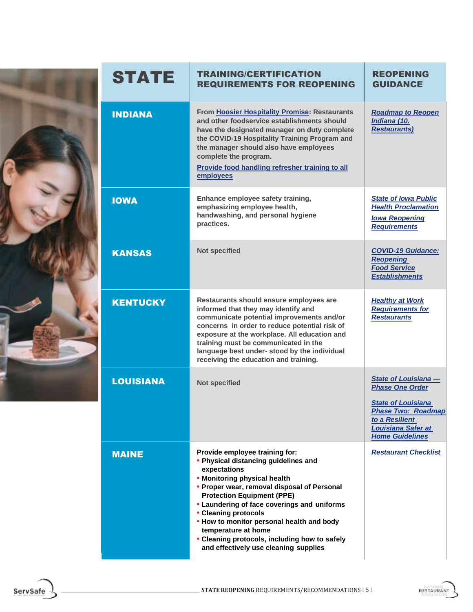| STATE            | <b>TRAINING/CERTIFICATION</b><br><b>REQUIREMENTS FOR REOPENING</b>                                                                                                                                                                                                                                                                                                                                                                              | <b>REOPENING</b><br><b>GUIDANCE</b>                                                                                                                                                      |
|------------------|-------------------------------------------------------------------------------------------------------------------------------------------------------------------------------------------------------------------------------------------------------------------------------------------------------------------------------------------------------------------------------------------------------------------------------------------------|------------------------------------------------------------------------------------------------------------------------------------------------------------------------------------------|
| <b>INDIANA</b>   | From Hoosier Hospitality Promise: Restaurants<br>and other foodservice establishments should<br>have the designated manager on duty complete<br>the COVID-19 Hospitality Training Program and<br>the manager should also have employees<br>complete the program.<br>Provide food handling refresher training to all<br>employees                                                                                                                | <b>Roadmap to Reopen</b><br>Indiana (10.<br><b>Restaurants)</b>                                                                                                                          |
| <b>IOWA</b>      | Enhance employee safety training,<br>emphasizing employee health,<br>handwashing, and personal hygiene<br>practices.                                                                                                                                                                                                                                                                                                                            | <b>State of Iowa Public</b><br><b>Health Proclamation</b><br><b>Iowa Reopening</b><br><b>Requirements</b>                                                                                |
| <b>KANSAS</b>    | <b>Not specified</b>                                                                                                                                                                                                                                                                                                                                                                                                                            | <b>COVID-19 Guidance:</b><br><b>Reopening</b><br><b>Food Service</b><br><b>Establishments</b>                                                                                            |
| <b>KENTUCKY</b>  | Restaurants should ensure employees are<br>informed that they may identify and<br>communicate potential improvements and/or<br>concerns in order to reduce potential risk of<br>exposure at the workplace. All education and<br>training must be communicated in the<br>language best under- stood by the individual<br>receiving the education and training.                                                                                   | <b>Healthy at Work</b><br><b>Requirements for</b><br><b>Restaurants</b>                                                                                                                  |
| <b>LOUISIANA</b> | <b>Not specified</b>                                                                                                                                                                                                                                                                                                                                                                                                                            | <b>State of Louisiana -</b><br><b>Phase One Order</b><br><b>State of Louisiana</b><br><b>Phase Two: Roadmap</b><br>to a Resilient<br><b>Louisiana Safer at</b><br><b>Home Guidelines</b> |
| <b>MAINE</b>     | Provide employee training for:<br>• Physical distancing guidelines and<br>expectations<br>• Monitoring physical health<br>• Proper wear, removal disposal of Personal<br><b>Protection Equipment (PPE)</b><br>• Laundering of face coverings and uniforms<br>• Cleaning protocols<br>. How to monitor personal health and body<br>temperature at home<br>• Cleaning protocols, including how to safely<br>and effectively use cleaning supplies | <b>Restaurant Checklist</b>                                                                                                                                                              |

ServSafe

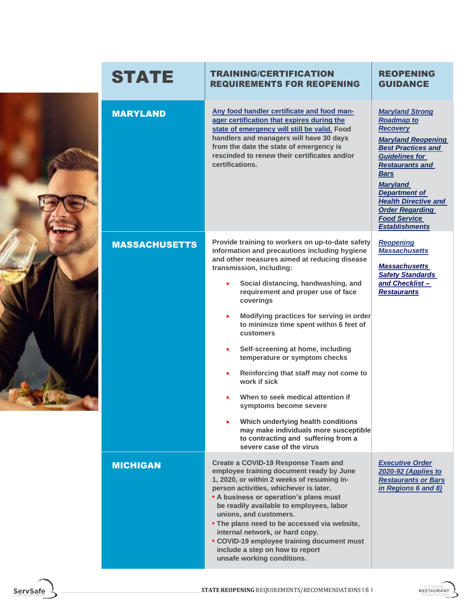|  | <b>STATE</b>         | <b>TRAINING/CERTIFICATION</b><br><b>REQUIREMENTS FOR REOPENING</b>                                                                                                                                                                                                                                                                                                                                                                                                                                                                                                                                                                                                                                                                                     | <b>REOPENING</b><br><b>GUIDANCE</b>                                                                                                                                                                                                                                                                                                            |
|--|----------------------|--------------------------------------------------------------------------------------------------------------------------------------------------------------------------------------------------------------------------------------------------------------------------------------------------------------------------------------------------------------------------------------------------------------------------------------------------------------------------------------------------------------------------------------------------------------------------------------------------------------------------------------------------------------------------------------------------------------------------------------------------------|------------------------------------------------------------------------------------------------------------------------------------------------------------------------------------------------------------------------------------------------------------------------------------------------------------------------------------------------|
|  | <b>MARYLAND</b>      | Any food handler certificate and food man-<br>ager certification that expires during the<br>state of emergency will still be valid. Food<br>handlers and managers will have 30 days<br>from the date the state of emergency is<br>rescinded to renew their certificates and/or<br>certifications.                                                                                                                                                                                                                                                                                                                                                                                                                                                      | <b>Maryland Strong</b><br><b>Roadmap to</b><br><b>Recovery</b><br><b>Maryland Reopening</b><br><b>Best Practices and</b><br><b>Guidelines for</b><br><b>Restaurants and</b><br><b>Bars</b><br><b>Maryland</b><br><b>Department of</b><br><b>Health Directive and</b><br><b>Order Regarding</b><br><b>Food Service</b><br><b>Establishments</b> |
|  | <b>MASSACHUSETTS</b> | Provide training to workers on up-to-date safety<br>information and precautions including hygiene<br>and other measures aimed at reducing disease<br>transmission, including:<br>Social distancing, handwashing, and<br>requirement and proper use of face<br>coverings<br>Modifying practices for serving in order<br>$\bullet$<br>to minimize time spent within 6 feet of<br>customers<br>Self-screening at home, including<br>$\bullet$<br>temperature or symptom checks<br>Reinforcing that staff may not come to<br>work if sick<br>When to seek medical attention if<br>symptoms become severe<br>Which underlying health conditions<br>may make individuals more susceptible<br>to contracting and suffering from a<br>severe case of the virus | <b>Reopening</b><br><b>Massachusetts</b><br><b>Massachusetts</b><br><b>Safety Standards</b><br>and Checklist-<br><b>Restaurants</b>                                                                                                                                                                                                            |
|  | <b>MICHIGAN</b>      | Create a COVID-19 Response Team and<br>employee training document ready by June<br>1, 2020, or within 2 weeks of resuming in-<br>person activities, whichever is later.<br>• A business or operation's plans must<br>be readily available to employees, labor<br>unions, and customers.<br>. The plans need to be accessed via website,<br>internal network, or hard copy.<br>• COVID-19 employee training document must<br>include a step on how to report<br>unsafe working conditions.                                                                                                                                                                                                                                                              | <b>Executive Order</b><br>2020-92 (Applies to<br><b>Restaurants or Bars</b><br>in Regions 6 and 8)                                                                                                                                                                                                                                             |

RESTAURANT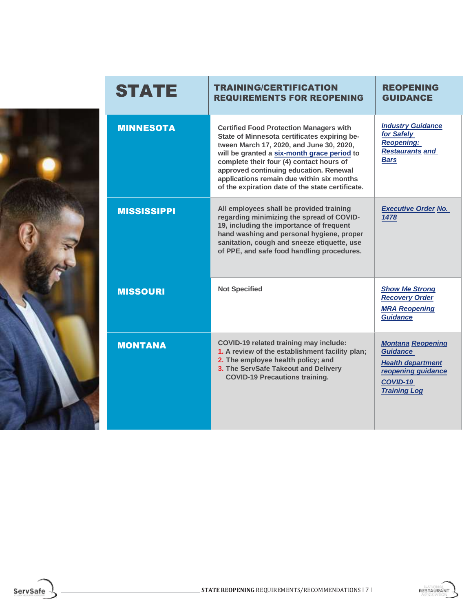| <b>STATE</b>       | <b>TRAINING/CERTIFICATION</b><br><b>REQUIREMENTS FOR REOPENING</b>                                                                                                                                                                                                                                                                                                               | <b>REOPENING</b><br><b>GUIDANCE</b>                                                                                              |
|--------------------|----------------------------------------------------------------------------------------------------------------------------------------------------------------------------------------------------------------------------------------------------------------------------------------------------------------------------------------------------------------------------------|----------------------------------------------------------------------------------------------------------------------------------|
| <b>MINNESOTA</b>   | <b>Certified Food Protection Managers with</b><br>State of Minnesota certificates expiring be-<br>tween March 17, 2020, and June 30, 2020,<br>will be granted a six-month grace period to<br>complete their four (4) contact hours of<br>approved continuing education. Renewal<br>applications remain due within six months<br>of the expiration date of the state certificate. | <b>Industry Guidance</b><br>for Safely<br><b>Reopening:</b><br><b>Restaurants and</b><br><b>Bars</b>                             |
| <b>MISSISSIPPI</b> | All employees shall be provided training<br>regarding minimizing the spread of COVID-<br>19, including the importance of frequent<br>hand washing and personal hygiene, proper<br>sanitation, cough and sneeze etiquette, use<br>of PPE, and safe food handling procedures.                                                                                                      | <b>Executive Order No.</b><br>1478                                                                                               |
| <b>MISSOURI</b>    | <b>Not Specified</b>                                                                                                                                                                                                                                                                                                                                                             | <b>Show Me Strong</b><br><b>Recovery Order</b><br><b>MRA Reopening</b><br><b>Guidance</b>                                        |
| <b>MONTANA</b>     | <b>COVID-19 related training may include:</b><br>1. A review of the establishment facility plan;<br>2. The employee health policy; and<br>3. The ServSafe Takeout and Delivery<br><b>COVID-19 Precautions training.</b>                                                                                                                                                          | <b>Montana Reopening</b><br><b>Guidance</b><br><b>Health department</b><br>reopening guidance<br>COVID-19<br><b>Training Log</b> |

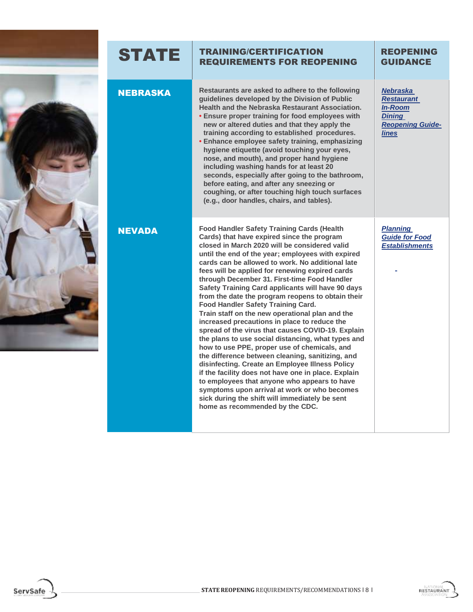

## STATE TRAINING/CERTIFICATION REQUIREMENTS FOR REOPENING

| <b>NEBRASKA</b> | Restaurants are asked to adhere to the following<br>guidelines developed by the Division of Public<br>Health and the Nebraska Restaurant Association.<br>• Ensure proper training for food employees with<br>new or altered duties and that they apply the<br>training according to established procedures.<br>• Enhance employee safety training, emphasizing<br>hygiene etiquette (avoid touching your eyes,<br>nose, and mouth), and proper hand hygiene<br>including washing hands for at least 20<br>seconds, especially after going to the bathroom,<br>before eating, and after any sneezing or<br>coughing, or after touching high touch surfaces<br>(e.g., door handles, chairs, and tables).                                                                                                                                                                                                                                                                                                                                                                                                                        | <b>Nebraska</b><br><b>Restaurant</b><br><b>In-Room</b><br><b>Dining</b><br><b>Reopening Guide-</b><br><b>lines</b> |
|-----------------|-------------------------------------------------------------------------------------------------------------------------------------------------------------------------------------------------------------------------------------------------------------------------------------------------------------------------------------------------------------------------------------------------------------------------------------------------------------------------------------------------------------------------------------------------------------------------------------------------------------------------------------------------------------------------------------------------------------------------------------------------------------------------------------------------------------------------------------------------------------------------------------------------------------------------------------------------------------------------------------------------------------------------------------------------------------------------------------------------------------------------------|--------------------------------------------------------------------------------------------------------------------|
| <b>NEVADA</b>   | <b>Food Handler Safety Training Cards (Health</b><br>Cards) that have expired since the program<br>closed in March 2020 will be considered valid<br>until the end of the year; employees with expired<br>cards can be allowed to work. No additional late<br>fees will be applied for renewing expired cards<br>through December 31. First-time Food Handler<br>Safety Training Card applicants will have 90 days<br>from the date the program reopens to obtain their<br>Food Handler Safety Training Card.<br>Train staff on the new operational plan and the<br>increased precautions in place to reduce the<br>spread of the virus that causes COVID-19. Explain<br>the plans to use social distancing, what types and<br>how to use PPE, proper use of chemicals, and<br>the difference between cleaning, sanitizing, and<br>disinfecting. Create an Employee Illness Policy<br>if the facility does not have one in place. Explain<br>to employees that anyone who appears to have<br>symptoms upon arrival at work or who becomes<br>sick during the shift will immediately be sent<br>home as recommended by the CDC. | <b>Planning</b><br><b>Guide for Food</b><br><b>Establishments</b>                                                  |

ServSafe



REOPENING **GUIDANCE**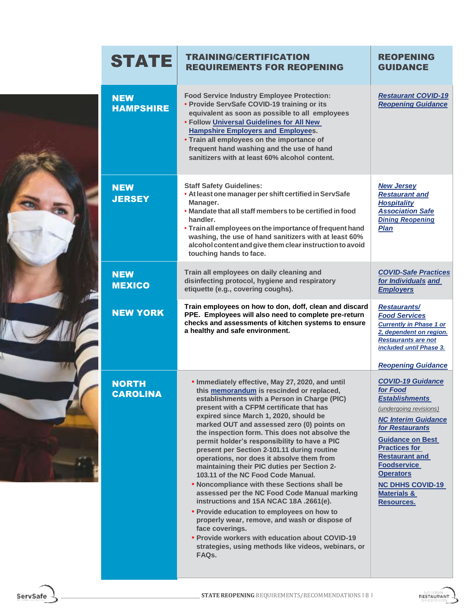|  | <b>STATE</b>                    | <b>TRAINING/CERTIFICATION</b><br><b>REQUIREMENTS FOR REOPENING</b>                                                                                                                                                                                                                                                                                                                                                                                                                                                                                                                                                                                                                                                                                                                                                                                                                                                                                   | <b>REOPENING</b><br><b>GUIDANCE</b>                                                                                                                                                                                                                                                                                               |
|--|---------------------------------|------------------------------------------------------------------------------------------------------------------------------------------------------------------------------------------------------------------------------------------------------------------------------------------------------------------------------------------------------------------------------------------------------------------------------------------------------------------------------------------------------------------------------------------------------------------------------------------------------------------------------------------------------------------------------------------------------------------------------------------------------------------------------------------------------------------------------------------------------------------------------------------------------------------------------------------------------|-----------------------------------------------------------------------------------------------------------------------------------------------------------------------------------------------------------------------------------------------------------------------------------------------------------------------------------|
|  | <b>NEW</b><br><b>HAMPSHIRE</b>  | <b>Food Service Industry Employee Protection:</b><br>• Provide ServSafe COVID-19 training or its<br>equivalent as soon as possible to all employees<br>. Follow Universal Guidelines for All New<br><b>Hampshire Employers and Employees.</b><br>• Train all employees on the importance of<br>frequent hand washing and the use of hand<br>sanitizers with at least 60% alcohol content.                                                                                                                                                                                                                                                                                                                                                                                                                                                                                                                                                            | <b>Restaurant COVID-19</b><br><b>Reopening Guidance</b>                                                                                                                                                                                                                                                                           |
|  | <b>NEW</b><br><b>JERSEY</b>     | <b>Staff Safety Guidelines:</b><br>. At least one manager per shift certified in ServSafe<br>Manager.<br>• Mandate that all staff members to be certified in food<br>handler.<br>• Train all employees on the importance of frequent hand<br>washing, the use of hand sanitizers with at least 60%<br>alcohol content and give them clear instruction to avoid<br>touching hands to face.                                                                                                                                                                                                                                                                                                                                                                                                                                                                                                                                                            | <b>New Jersey</b><br><b>Restaurant and</b><br><b>Hospitality</b><br><b>Association Safe</b><br><b>Dining Reopening</b><br><b>Plan</b>                                                                                                                                                                                             |
|  | <b>NEW</b><br><b>MEXICO</b>     | Train all employees on daily cleaning and<br>disinfecting protocol, hygiene and respiratory<br>etiquette (e.g., covering coughs).                                                                                                                                                                                                                                                                                                                                                                                                                                                                                                                                                                                                                                                                                                                                                                                                                    | <b>COVID-Safe Practices</b><br>for Individuals and<br><b>Employers</b>                                                                                                                                                                                                                                                            |
|  | <b>NEW YORK</b>                 | Train employees on how to don, doff, clean and discard<br>PPE. Employees will also need to complete pre-return<br>checks and assessments of kitchen systems to ensure<br>a healthy and safe environment.                                                                                                                                                                                                                                                                                                                                                                                                                                                                                                                                                                                                                                                                                                                                             | <b>Restaurants/</b><br><b>Food Services</b><br><b>Currently in Phase 1 or</b><br>2, dependent on region.<br><b>Restaurants are not</b><br>included until Phase 3.<br><b>Reopening Guidance</b>                                                                                                                                    |
|  | <b>NORTH</b><br><b>CAROLINA</b> | . Immediately effective, May 27, 2020, and until<br>this memorandum is rescinded or replaced,<br>establishments with a Person in Charge (PIC)<br>present with a CFPM certificate that has<br>expired since March 1, 2020, should be<br>marked OUT and assessed zero (0) points on<br>the inspection form. This does not absolve the<br>permit holder's responsibility to have a PIC<br>present per Section 2-101.11 during routine<br>operations, nor does it absolve them from<br>maintaining their PIC duties per Section 2-<br>103.11 of the NC Food Code Manual.<br>. Noncompliance with these Sections shall be<br>assessed per the NC Food Code Manual marking<br>instructions and 15A NCAC 18A .2661(e).<br>• Provide education to employees on how to<br>properly wear, remove, and wash or dispose of<br>face coverings.<br>• Provide workers with education about COVID-19<br>strategies, using methods like videos, webinars, or<br>FAQs. | <b>COVID-19 Guidance</b><br>for Food<br><b>Establishments</b><br>(undergoing revisions)<br><b>NC Interim Guidance</b><br>for Restaurants<br><b>Guidance on Best</b><br><b>Practices for</b><br><b>Restaurant and</b><br><b>Foodservice</b><br><b>Operators</b><br><b>NC DHHS COVID-19</b><br><b>Materials &amp;</b><br>Resources. |



F

V

Ÿ.

i.

RESTAURANT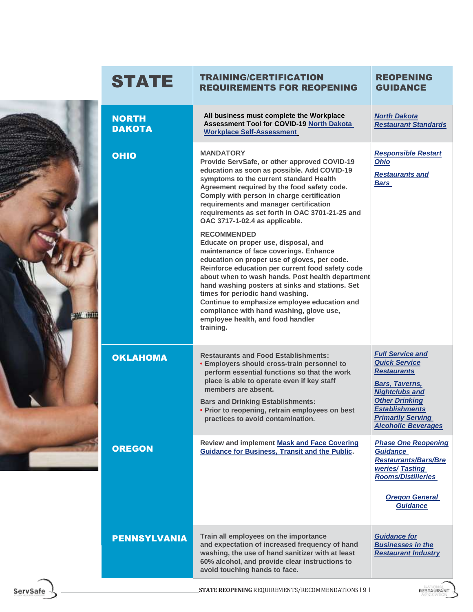|                 | <b>STATE</b>                  | <b>TRAINING/CERTIFICATION</b><br><b>REQUIREMENTS FOR REOPENING</b>                                                                                                                                                                                                                                                                                                                                                                                                                                                                                                                                                                                                                                                                                                                                                                                                                          | <b>REOPENING</b><br><b>GUIDANCE</b>                                                                                                                                                                                                 |
|-----------------|-------------------------------|---------------------------------------------------------------------------------------------------------------------------------------------------------------------------------------------------------------------------------------------------------------------------------------------------------------------------------------------------------------------------------------------------------------------------------------------------------------------------------------------------------------------------------------------------------------------------------------------------------------------------------------------------------------------------------------------------------------------------------------------------------------------------------------------------------------------------------------------------------------------------------------------|-------------------------------------------------------------------------------------------------------------------------------------------------------------------------------------------------------------------------------------|
| <b>THE HOLD</b> | <b>NORTH</b><br><b>DAKOTA</b> | All business must complete the Workplace<br>Assessment Tool for COVID-19 North Dakota<br><b>Workplace Self-Assessment</b>                                                                                                                                                                                                                                                                                                                                                                                                                                                                                                                                                                                                                                                                                                                                                                   | <b>North Dakota</b><br><b>Restaurant Standards</b>                                                                                                                                                                                  |
|                 | <b>OHIO</b>                   | <b>MANDATORY</b><br>Provide ServSafe, or other approved COVID-19<br>education as soon as possible. Add COVID-19<br>symptoms to the current standard Health<br>Agreement required by the food safety code.<br>Comply with person in charge certification<br>requirements and manager certification<br>requirements as set forth in OAC 3701-21-25 and<br>OAC 3717-1-02.4 as applicable.<br><b>RECOMMENDED</b><br>Educate on proper use, disposal, and<br>maintenance of face coverings. Enhance<br>education on proper use of gloves, per code.<br>Reinforce education per current food safety code<br>about when to wash hands. Post health department<br>hand washing posters at sinks and stations. Set<br>times for periodic hand washing.<br>Continue to emphasize employee education and<br>compliance with hand washing, glove use,<br>employee health, and food handler<br>training. | <b>Responsible Restart</b><br>Ohio<br><b>Restaurants and</b><br><u>Bars</u>                                                                                                                                                         |
|                 | <b>OKLAHOMA</b>               | <b>Restaurants and Food Establishments:</b><br><b>· Employers should cross-train personnel to</b><br>perform essential functions so that the work<br>place is able to operate even if key staff<br>members are absent.<br><b>Bars and Drinking Establishments:</b><br>• Prior to reopening, retrain employees on best<br>practices to avoid contamination.                                                                                                                                                                                                                                                                                                                                                                                                                                                                                                                                  | <b>Full Service and</b><br><b>Quick Service</b><br><b>Restaurants</b><br><b>Bars, Taverns,</b><br><b>Nightclubs and</b><br><b>Other Drinking</b><br><b>Establishments</b><br><b>Primarily Serving</b><br><b>Alcoholic Beverages</b> |
|                 | <b>OREGON</b>                 | <b>Review and implement Mask and Face Covering</b><br><b>Guidance for Business, Transit and the Public.</b>                                                                                                                                                                                                                                                                                                                                                                                                                                                                                                                                                                                                                                                                                                                                                                                 | <b>Phase One Reopening</b><br><b>Guidance</b><br><b>Restaurants/Bars/Bre</b><br>weries/ Tasting<br><b>Rooms/Distilleries</b><br><b>Oregon General</b><br><b>Guidance</b>                                                            |
|                 | <b>PENNSYLVANIA</b>           | Train all employees on the importance<br>and expectation of increased frequency of hand<br>washing, the use of hand sanitizer with at least<br>60% alcohol, and provide clear instructions to<br>avoid touching hands to face.                                                                                                                                                                                                                                                                                                                                                                                                                                                                                                                                                                                                                                                              | <b>Guidance for</b><br><b>Businesses in the</b><br><b>Restaurant Industry</b>                                                                                                                                                       |
| ServSafe        |                               | STATE REOPENING REQUIREMENTS/RECOMMENDATIONS   9                                                                                                                                                                                                                                                                                                                                                                                                                                                                                                                                                                                                                                                                                                                                                                                                                                            | RESTAURAN                                                                                                                                                                                                                           |

V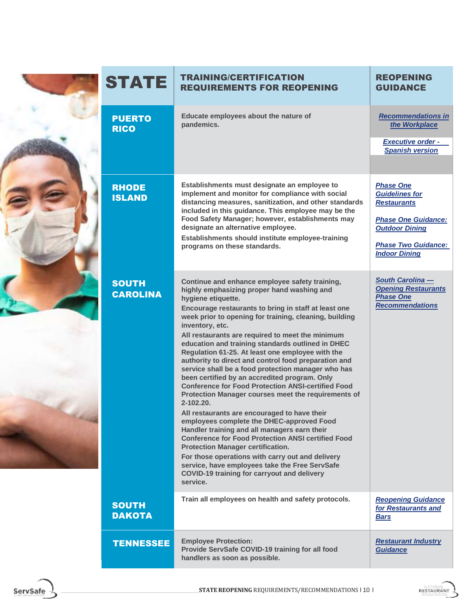| <b>STATE</b>                    | <b>TRAINING/CERTIFICATION</b><br><b>REQUIREMENTS FOR REOPENING</b>                                                                                                                                                                                                                                                                                                                                                                                                                                                                                                                                                                                                                                                                                                                                                                                                                                                                                                                                                                                                                                                                                      | <b>REOPENING</b><br><b>GUIDANCE</b>                                                                                                                                          |
|---------------------------------|---------------------------------------------------------------------------------------------------------------------------------------------------------------------------------------------------------------------------------------------------------------------------------------------------------------------------------------------------------------------------------------------------------------------------------------------------------------------------------------------------------------------------------------------------------------------------------------------------------------------------------------------------------------------------------------------------------------------------------------------------------------------------------------------------------------------------------------------------------------------------------------------------------------------------------------------------------------------------------------------------------------------------------------------------------------------------------------------------------------------------------------------------------|------------------------------------------------------------------------------------------------------------------------------------------------------------------------------|
| <b>PUERTO</b><br><b>RICO</b>    | Educate employees about the nature of<br>pandemics.                                                                                                                                                                                                                                                                                                                                                                                                                                                                                                                                                                                                                                                                                                                                                                                                                                                                                                                                                                                                                                                                                                     | <b>Recommendations in</b><br>the Workplace<br><b>Executive order -</b><br><b>Spanish version</b>                                                                             |
| <b>RHODE</b><br><b>ISLAND</b>   | Establishments must designate an employee to<br>implement and monitor for compliance with social<br>distancing measures, sanitization, and other standards<br>included in this guidance. This employee may be the<br>Food Safety Manager; however, establishments may<br>designate an alternative employee.<br>Establishments should institute employee-training<br>programs on these standards.                                                                                                                                                                                                                                                                                                                                                                                                                                                                                                                                                                                                                                                                                                                                                        | <b>Phase One</b><br><b>Guidelines for</b><br><b>Restaurants</b><br><b>Phase One Guidance:</b><br><b>Outdoor Dining</b><br><b>Phase Two Guidance:</b><br><b>Indoor Dining</b> |
| <b>SOUTH</b><br><b>CAROLINA</b> | Continue and enhance employee safety training,<br>highly emphasizing proper hand washing and<br>hygiene etiquette.<br>Encourage restaurants to bring in staff at least one<br>week prior to opening for training, cleaning, building<br>inventory, etc.<br>All restaurants are required to meet the minimum<br>education and training standards outlined in DHEC<br>Regulation 61-25. At least one employee with the<br>authority to direct and control food preparation and<br>service shall be a food protection manager who has<br>been certified by an accredited program. Only<br><b>Conference for Food Protection ANSI-certified Food</b><br>Protection Manager courses meet the requirements of<br>$2 - 102.20$ .<br>All restaurants are encouraged to have their<br>employees complete the DHEC-approved Food<br>Handler training and all managers earn their<br><b>Conference for Food Protection ANSI certified Food</b><br><b>Protection Manager certification.</b><br>For those operations with carry out and delivery<br>service, have employees take the Free ServSafe<br><b>COVID-19 training for carryout and delivery</b><br>service. | <b>South Carolina -</b><br><b>Opening Restaurants</b><br><b>Phase One</b><br><b>Recommendations</b>                                                                          |
| <b>SOUTH</b><br><b>DAKOTA</b>   | Train all employees on health and safety protocols.                                                                                                                                                                                                                                                                                                                                                                                                                                                                                                                                                                                                                                                                                                                                                                                                                                                                                                                                                                                                                                                                                                     | <b>Reopening Guidance</b><br>for Restaurants and<br>Bars                                                                                                                     |
| <b>TENNESSEE</b>                | <b>Employee Protection:</b><br>Provide ServSafe COVID-19 training for all food<br>handlers as soon as possible.                                                                                                                                                                                                                                                                                                                                                                                                                                                                                                                                                                                                                                                                                                                                                                                                                                                                                                                                                                                                                                         | <b>Restaurant Industry</b><br>Guidance                                                                                                                                       |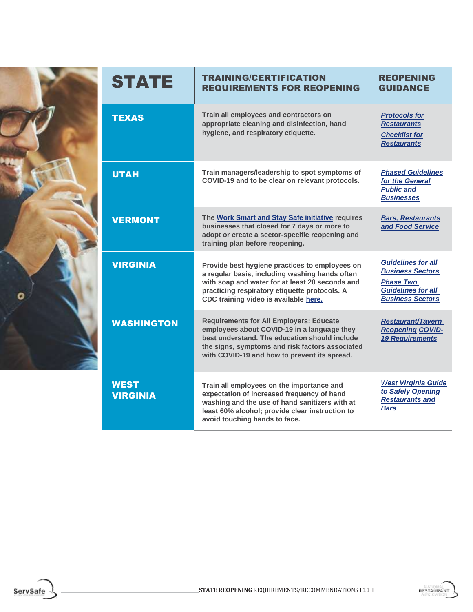

| <b>STATE</b>                   | <b>TRAINING/CERTIFICATION</b><br><b>REQUIREMENTS FOR REOPENING</b>                                                                                                                                                                                | <b>REOPENING</b><br><b>GUIDANCE</b>                                                                                              |
|--------------------------------|---------------------------------------------------------------------------------------------------------------------------------------------------------------------------------------------------------------------------------------------------|----------------------------------------------------------------------------------------------------------------------------------|
| <b>TEXAS</b>                   | Train all employees and contractors on<br>appropriate cleaning and disinfection, hand<br>hygiene, and respiratory etiquette.                                                                                                                      | <b>Protocols for</b><br><b>Restaurants</b><br><b>Checklist for</b><br><b>Restaurants</b>                                         |
| <b>UTAH</b>                    | Train managers/leadership to spot symptoms of<br>COVID-19 and to be clear on relevant protocols.                                                                                                                                                  | <b>Phased Guidelines</b><br>for the General<br><b>Public and</b><br><b>Businesses</b>                                            |
| <b>VERMONT</b>                 | The Work Smart and Stay Safe initiative requires<br>businesses that closed for 7 days or more to<br>adopt or create a sector-specific reopening and<br>training plan before reopening.                                                            | <b>Bars, Restaurants</b><br>and Food Service                                                                                     |
| <b>VIRGINIA</b>                | Provide best hygiene practices to employees on<br>a regular basis, including washing hands often<br>with soap and water for at least 20 seconds and<br>practicing respiratory etiquette protocols. A<br>CDC training video is available here.     | <b>Guidelines for all</b><br><b>Business Sectors</b><br><b>Phase Two</b><br><b>Guidelines for all</b><br><b>Business Sectors</b> |
| <b>WASHINGTON</b>              | <b>Requirements for All Employers: Educate</b><br>employees about COVID-19 in a language they<br>best understand. The education should include<br>the signs, symptoms and risk factors associated<br>with COVID-19 and how to prevent its spread. | <b>Restaurant/Tavern</b><br><b>Reopening COVID-</b><br><b>19 Requirements</b>                                                    |
| <b>WEST</b><br><b>VIRGINIA</b> | Train all employees on the importance and<br>expectation of increased frequency of hand<br>washing and the use of hand sanitizers with at<br>least 60% alcohol; provide clear instruction to<br>avoid touching hands to face.                     | <b>West Virginia Guide</b><br>to Safely Opening<br><b>Restaurants and</b><br><b>Bars</b>                                         |



ServSafe